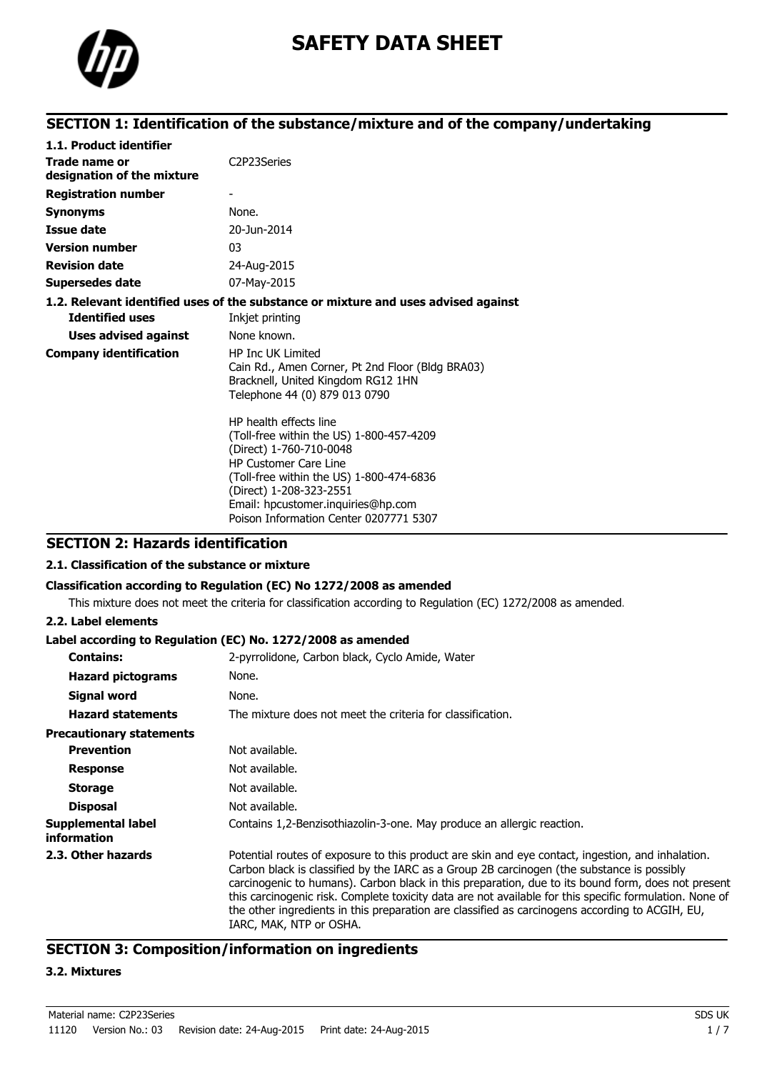

# **SAFETY DATA SHEET**

## **SECTION 1: Identification of the substance/mixture and of the company/undertaking**

| 1.1. Product identifier                     |                                                                                                                                                                                                                                                                                      |
|---------------------------------------------|--------------------------------------------------------------------------------------------------------------------------------------------------------------------------------------------------------------------------------------------------------------------------------------|
| Trade name or<br>designation of the mixture | C <sub>2</sub> P <sub>23</sub> Series                                                                                                                                                                                                                                                |
| <b>Registration number</b>                  |                                                                                                                                                                                                                                                                                      |
| <b>Synonyms</b>                             | None.                                                                                                                                                                                                                                                                                |
| <b>Issue date</b>                           | 20-Jun-2014                                                                                                                                                                                                                                                                          |
| <b>Version number</b>                       | 03                                                                                                                                                                                                                                                                                   |
| <b>Revision date</b>                        | 24-Aug-2015                                                                                                                                                                                                                                                                          |
| <b>Supersedes date</b>                      | 07-May-2015                                                                                                                                                                                                                                                                          |
|                                             | 1.2. Relevant identified uses of the substance or mixture and uses advised against                                                                                                                                                                                                   |
| <b>Identified uses</b>                      | Inkjet printing                                                                                                                                                                                                                                                                      |
| <b>Uses advised against</b>                 | None known.                                                                                                                                                                                                                                                                          |
| <b>Company identification</b>               | <b>HP Inc UK Limited</b><br>Cain Rd., Amen Corner, Pt 2nd Floor (Bldg BRA03)<br>Bracknell, United Kingdom RG12 1HN<br>Telephone 44 (0) 879 013 0790                                                                                                                                  |
|                                             | HP health effects line<br>(Toll-free within the US) 1-800-457-4209<br>(Direct) 1-760-710-0048<br><b>HP Customer Care Line</b><br>(Toll-free within the US) 1-800-474-6836<br>(Direct) 1-208-323-2551<br>Email: hpcustomer.inquiries@hp.com<br>Poison Information Center 0207771 5307 |

## **SECTION 2: Hazards identification**

## **2.1. Classification of the substance or mixture**

#### **Classification according to Regulation (EC) No 1272/2008 as amended**

This mixture does not meet the criteria for classification according to Regulation (EC) 1272/2008 as amended.

#### **2.2. Label elements**

### **Label according to Regulation (EC) No. 1272/2008 as amended**

| <b>Contains:</b>                  | 2-pyrrolidone, Carbon black, Cyclo Amide, Water                                                                                                                                                                                                                                                                                                                                                                                                                                                                                                |
|-----------------------------------|------------------------------------------------------------------------------------------------------------------------------------------------------------------------------------------------------------------------------------------------------------------------------------------------------------------------------------------------------------------------------------------------------------------------------------------------------------------------------------------------------------------------------------------------|
|                                   |                                                                                                                                                                                                                                                                                                                                                                                                                                                                                                                                                |
| <b>Hazard pictograms</b>          | None.                                                                                                                                                                                                                                                                                                                                                                                                                                                                                                                                          |
| Signal word                       | None.                                                                                                                                                                                                                                                                                                                                                                                                                                                                                                                                          |
| <b>Hazard statements</b>          | The mixture does not meet the criteria for classification.                                                                                                                                                                                                                                                                                                                                                                                                                                                                                     |
| <b>Precautionary statements</b>   |                                                                                                                                                                                                                                                                                                                                                                                                                                                                                                                                                |
| <b>Prevention</b>                 | Not available.                                                                                                                                                                                                                                                                                                                                                                                                                                                                                                                                 |
| <b>Response</b>                   | Not available.                                                                                                                                                                                                                                                                                                                                                                                                                                                                                                                                 |
| <b>Storage</b>                    | Not available.                                                                                                                                                                                                                                                                                                                                                                                                                                                                                                                                 |
| <b>Disposal</b>                   | Not available.                                                                                                                                                                                                                                                                                                                                                                                                                                                                                                                                 |
| Supplemental label<br>information | Contains 1,2-Benzisothiazolin-3-one. May produce an allergic reaction.                                                                                                                                                                                                                                                                                                                                                                                                                                                                         |
| 2.3. Other hazards                | Potential routes of exposure to this product are skin and eye contact, ingestion, and inhalation.<br>Carbon black is classified by the IARC as a Group 2B carcinogen (the substance is possibly<br>carcinogenic to humans). Carbon black in this preparation, due to its bound form, does not present<br>this carcinogenic risk. Complete toxicity data are not available for this specific formulation. None of<br>the other ingredients in this preparation are classified as carcinogens according to ACGIH, EU,<br>IARC, MAK, NTP or OSHA. |

## **SECTION 3: Composition/information on ingredients**

#### **3.2. Mixtures**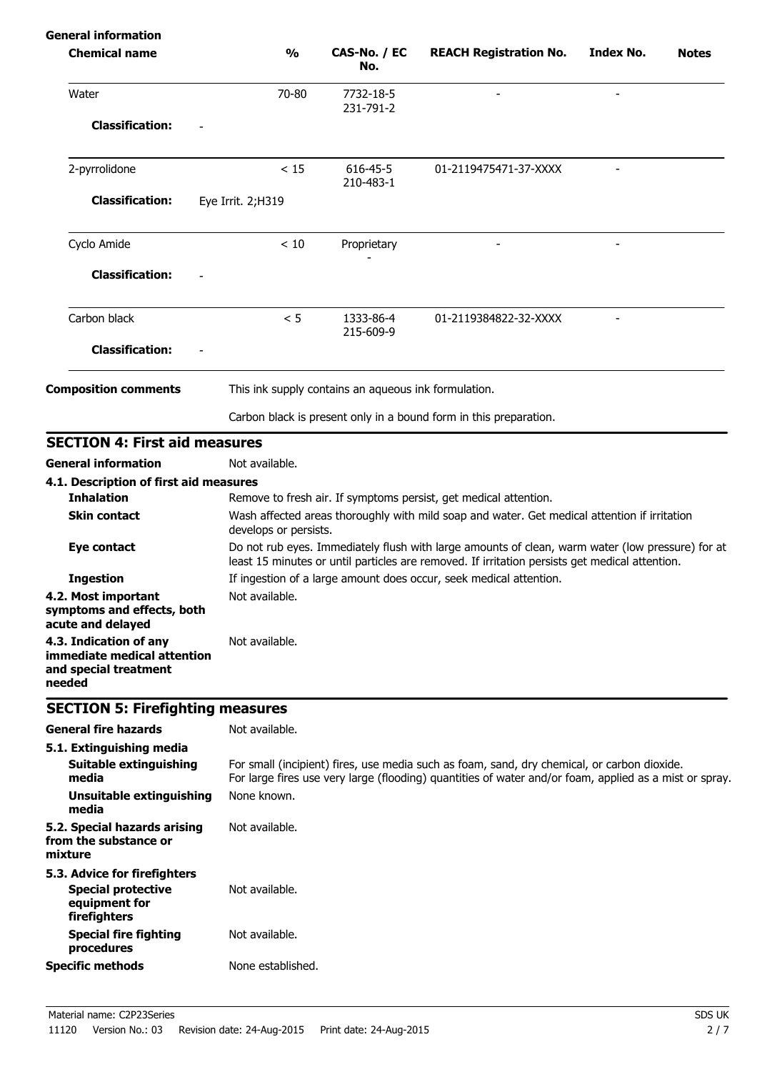| <b>General information</b>                                                                 |                       |                                                      |                                                                                                                                                                                                       |                  |              |
|--------------------------------------------------------------------------------------------|-----------------------|------------------------------------------------------|-------------------------------------------------------------------------------------------------------------------------------------------------------------------------------------------------------|------------------|--------------|
| <b>Chemical name</b>                                                                       | $\frac{0}{0}$         | CAS-No. / EC<br>No.                                  | <b>REACH Registration No.</b>                                                                                                                                                                         | <b>Index No.</b> | <b>Notes</b> |
| Water                                                                                      | 70-80                 | 7732-18-5<br>231-791-2                               |                                                                                                                                                                                                       |                  |              |
| <b>Classification:</b>                                                                     |                       |                                                      |                                                                                                                                                                                                       |                  |              |
| 2-pyrrolidone                                                                              | < 15                  | 616-45-5<br>210-483-1                                | 01-2119475471-37-XXXX                                                                                                                                                                                 |                  |              |
| <b>Classification:</b>                                                                     | Eye Irrit. 2; H319    |                                                      |                                                                                                                                                                                                       |                  |              |
| Cyclo Amide                                                                                | < 10                  | Proprietary                                          |                                                                                                                                                                                                       |                  |              |
| <b>Classification:</b>                                                                     |                       |                                                      |                                                                                                                                                                                                       |                  |              |
| Carbon black                                                                               | < 5                   | 1333-86-4<br>215-609-9                               | 01-2119384822-32-XXXX                                                                                                                                                                                 |                  |              |
| <b>Classification:</b>                                                                     |                       |                                                      |                                                                                                                                                                                                       |                  |              |
| <b>Composition comments</b>                                                                |                       | This ink supply contains an aqueous ink formulation. |                                                                                                                                                                                                       |                  |              |
|                                                                                            |                       |                                                      | Carbon black is present only in a bound form in this preparation.                                                                                                                                     |                  |              |
| <b>SECTION 4: First aid measures</b>                                                       |                       |                                                      |                                                                                                                                                                                                       |                  |              |
| <b>General information</b>                                                                 | Not available.        |                                                      |                                                                                                                                                                                                       |                  |              |
| 4.1. Description of first aid measures                                                     |                       |                                                      |                                                                                                                                                                                                       |                  |              |
| <b>Inhalation</b>                                                                          |                       |                                                      | Remove to fresh air. If symptoms persist, get medical attention.                                                                                                                                      |                  |              |
| <b>Skin contact</b>                                                                        | develops or persists. |                                                      | Wash affected areas thoroughly with mild soap and water. Get medical attention if irritation                                                                                                          |                  |              |
| Eye contact                                                                                |                       |                                                      | Do not rub eyes. Immediately flush with large amounts of clean, warm water (low pressure) for at<br>least 15 minutes or until particles are removed. If irritation persists get medical attention.    |                  |              |
| <b>Ingestion</b>                                                                           |                       |                                                      | If ingestion of a large amount does occur, seek medical attention.                                                                                                                                    |                  |              |
| 4.2. Most important<br>symptoms and effects, both<br>acute and delayed                     | Not available.        |                                                      |                                                                                                                                                                                                       |                  |              |
| 4.3. Indication of any<br>immediate medical attention<br>and special treatment<br>needed   | Not available.        |                                                      |                                                                                                                                                                                                       |                  |              |
| <b>SECTION 5: Firefighting measures</b>                                                    |                       |                                                      |                                                                                                                                                                                                       |                  |              |
| <b>General fire hazards</b>                                                                | Not available.        |                                                      |                                                                                                                                                                                                       |                  |              |
| 5.1. Extinguishing media<br><b>Suitable extinguishing</b><br>media                         |                       |                                                      | For small (incipient) fires, use media such as foam, sand, dry chemical, or carbon dioxide.<br>For large fires use very large (flooding) quantities of water and/or foam, applied as a mist or spray. |                  |              |
| <b>Unsuitable extinguishing</b><br>media                                                   | None known.           |                                                      |                                                                                                                                                                                                       |                  |              |
| 5.2. Special hazards arising<br>from the substance or<br>mixture                           | Not available.        |                                                      |                                                                                                                                                                                                       |                  |              |
| 5.3. Advice for firefighters<br><b>Special protective</b><br>equipment for<br>firefighters | Not available.        |                                                      |                                                                                                                                                                                                       |                  |              |
| <b>Special fire fighting</b><br>procedures                                                 | Not available.        |                                                      |                                                                                                                                                                                                       |                  |              |
| <b>Specific methods</b>                                                                    | None established.     |                                                      |                                                                                                                                                                                                       |                  |              |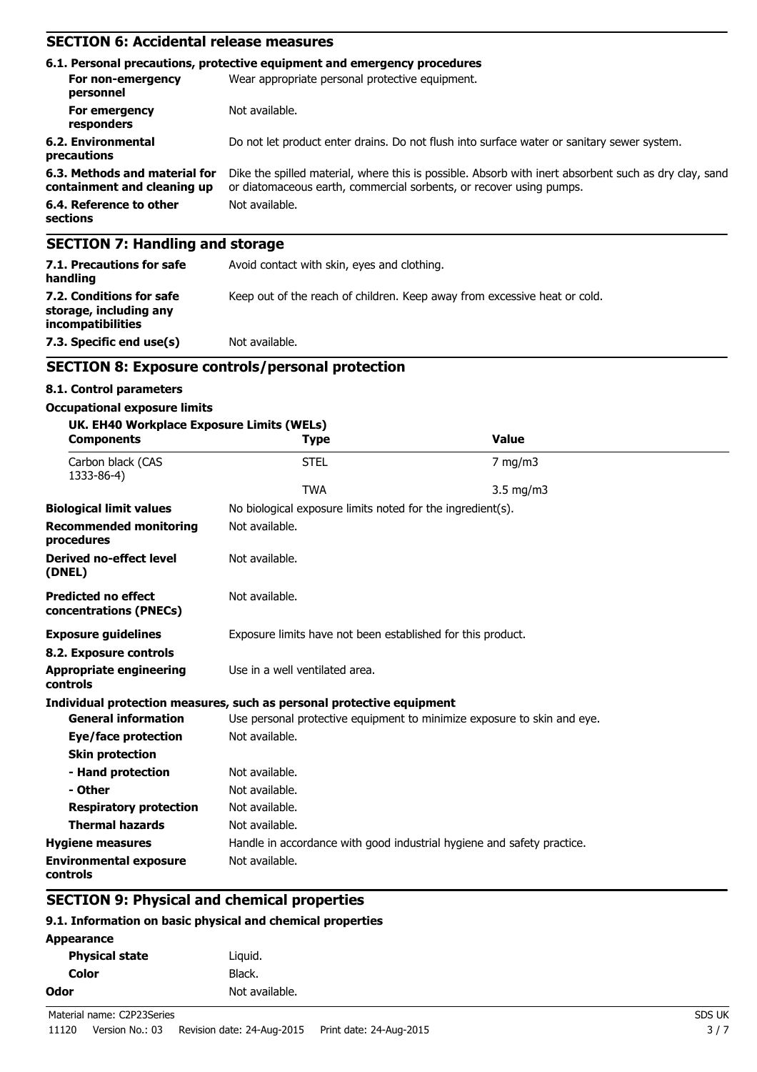## **SECTION 6: Accidental release measures**

|                                                              | 6.1. Personal precautions, protective equipment and emergency procedures                                                                                                     |  |  |
|--------------------------------------------------------------|------------------------------------------------------------------------------------------------------------------------------------------------------------------------------|--|--|
| For non-emergency<br>personnel                               | Wear appropriate personal protective equipment.                                                                                                                              |  |  |
| For emergency<br>responders                                  | Not available.                                                                                                                                                               |  |  |
| 6.2. Environmental<br>precautions                            | Do not let product enter drains. Do not flush into surface water or sanitary sewer system.                                                                                   |  |  |
| 6.3. Methods and material for<br>containment and cleaning up | Dike the spilled material, where this is possible. Absorb with inert absorbent such as dry clay, sand<br>or diatomaceous earth, commercial sorbents, or recover using pumps. |  |  |
| 6.4. Reference to other<br>sections                          | Not available.                                                                                                                                                               |  |  |
| <b>SECTION 7: Handling and storage</b>                       |                                                                                                                                                                              |  |  |
| 7.1. Precautions for safe<br>handling                        | Avoid contact with skin, eyes and clothing.                                                                                                                                  |  |  |

Keep out of the reach of children. Keep away from excessive heat or cold.

**incompatibilities 7.3. Specific end use(s)** Not available.

## **SECTION 8: Exposure controls/personal protection**

### **8.1. Control parameters**

**7.2. Conditions for safe storage, including any**

#### **Occupational exposure limits**

| UK. EH40 Workplace Exposure Limits (WELs)            |                                                                       |                                                                         |
|------------------------------------------------------|-----------------------------------------------------------------------|-------------------------------------------------------------------------|
| <b>Components</b>                                    | Type                                                                  | <b>Value</b>                                                            |
| Carbon black (CAS<br>1333-86-4)                      | <b>STEL</b>                                                           | $7$ mg/m $3$                                                            |
|                                                      | <b>TWA</b>                                                            | $3.5$ mg/m $3$                                                          |
| <b>Biological limit values</b>                       | No biological exposure limits noted for the ingredient(s).            |                                                                         |
| <b>Recommended monitoring</b><br>procedures          | Not available.                                                        |                                                                         |
| <b>Derived no-effect level</b><br>(DNEL)             | Not available.                                                        |                                                                         |
| <b>Predicted no effect</b><br>concentrations (PNECs) | Not available.                                                        |                                                                         |
| <b>Exposure guidelines</b>                           | Exposure limits have not been established for this product.           |                                                                         |
| 8.2. Exposure controls                               |                                                                       |                                                                         |
| <b>Appropriate engineering</b><br>controls           | Use in a well ventilated area.                                        |                                                                         |
|                                                      | Individual protection measures, such as personal protective equipment |                                                                         |
| <b>General information</b>                           |                                                                       | Use personal protective equipment to minimize exposure to skin and eye. |
| Eye/face protection                                  | Not available.                                                        |                                                                         |
| <b>Skin protection</b>                               |                                                                       |                                                                         |
| - Hand protection                                    | Not available.                                                        |                                                                         |
| - Other                                              | Not available.                                                        |                                                                         |
| <b>Respiratory protection</b>                        | Not available.                                                        |                                                                         |
| <b>Thermal hazards</b>                               | Not available.                                                        |                                                                         |
| <b>Hygiene measures</b>                              |                                                                       | Handle in accordance with good industrial hygiene and safety practice.  |
| <b>Environmental exposure</b><br>controls            | Not available.                                                        |                                                                         |

## **SECTION 9: Physical and chemical properties**

## **9.1. Information on basic physical and chemical properties**

| Appearance            |                |
|-----------------------|----------------|
| <b>Physical state</b> | Liguid.        |
| Color                 | Black.         |
| Odor                  | Not available. |
|                       |                |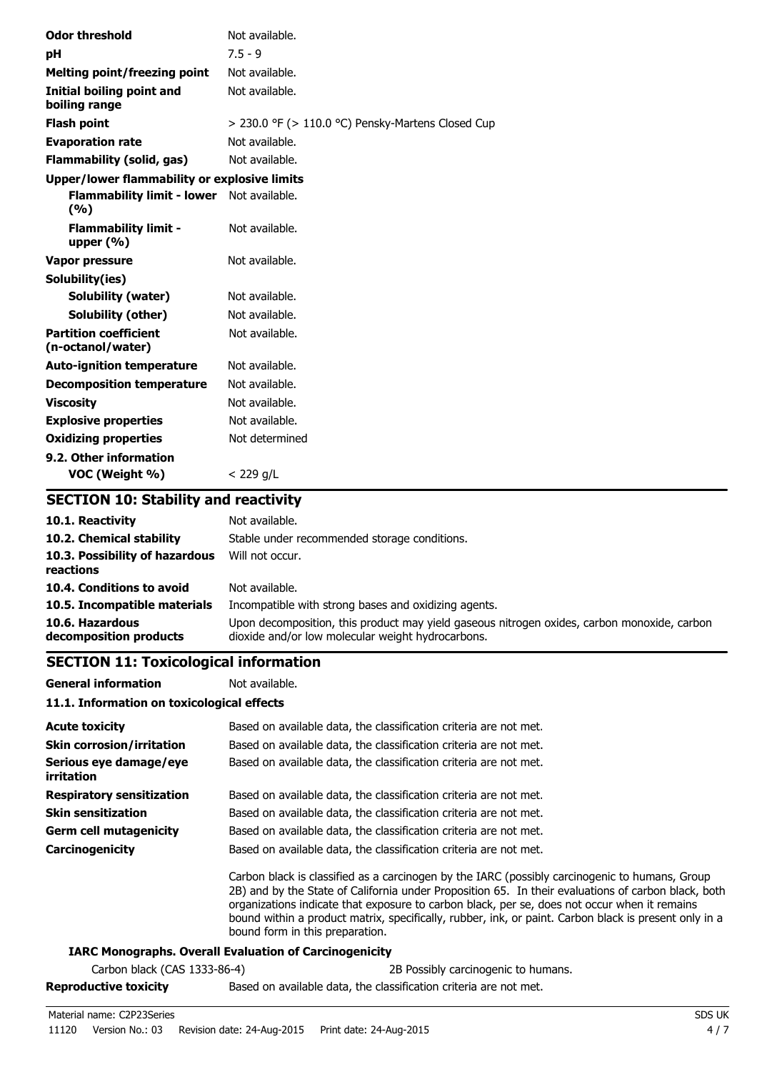| <b>Odor threshold</b>                                   | Not available.                                    |
|---------------------------------------------------------|---------------------------------------------------|
| pH                                                      | $7.5 - 9$                                         |
| <b>Melting point/freezing point</b>                     | Not available.                                    |
| Initial boiling point and<br>boiling range              | Not available.                                    |
| <b>Flash point</b>                                      | > 230.0 °F (> 110.0 °C) Pensky-Martens Closed Cup |
| <b>Evaporation rate</b>                                 | Not available.                                    |
| <b>Flammability (solid, gas)</b>                        | Not available.                                    |
| <b>Upper/lower flammability or explosive limits</b>     |                                                   |
| <b>Flammability limit - lower</b> Not available.<br>(%) |                                                   |
| <b>Flammability limit -</b><br>upper $(\% )$            | Not available.                                    |
| Vapor pressure                                          | Not available.                                    |
| Solubility(ies)                                         |                                                   |
| <b>Solubility (water)</b>                               | Not available.                                    |
| Solubility (other)                                      | Not available.                                    |
| <b>Partition coefficient</b><br>(n-octanol/water)       | Not available.                                    |
| <b>Auto-ignition temperature</b>                        | Not available.                                    |
| <b>Decomposition temperature</b>                        | Not available.                                    |
| <b>Viscosity</b>                                        | Not available.                                    |
| <b>Explosive properties</b>                             | Not available.                                    |
| <b>Oxidizing properties</b>                             | Not determined                                    |
| 9.2. Other information<br>VOC (Weight %)                | $<$ 229 g/L                                       |
| <b>SECTION 10: Stability and reactivity</b>             |                                                   |

| 10.1. Reactivity                            | Not available.                                                                                                                                   |
|---------------------------------------------|--------------------------------------------------------------------------------------------------------------------------------------------------|
| 10.2. Chemical stability                    | Stable under recommended storage conditions.                                                                                                     |
| 10.3. Possibility of hazardous<br>reactions | Will not occur.                                                                                                                                  |
| 10.4. Conditions to avoid                   | Not available.                                                                                                                                   |
| 10.5. Incompatible materials                | Incompatible with strong bases and oxidizing agents.                                                                                             |
| 10.6. Hazardous<br>decomposition products   | Upon decomposition, this product may yield gaseous nitrogen oxides, carbon monoxide, carbon<br>dioxide and/or low molecular weight hydrocarbons. |

## **SECTION 11: Toxicological information**

**General information** Not available. **11.1. Information on toxicological effects**

| <b>Acute toxicity</b>                       | Based on available data, the classification criteria are not met.                                                                                                                                                                                                                                                                                                                                                                                 |
|---------------------------------------------|---------------------------------------------------------------------------------------------------------------------------------------------------------------------------------------------------------------------------------------------------------------------------------------------------------------------------------------------------------------------------------------------------------------------------------------------------|
| <b>Skin corrosion/irritation</b>            | Based on available data, the classification criteria are not met.                                                                                                                                                                                                                                                                                                                                                                                 |
| Serious eye damage/eye<br><i>irritation</i> | Based on available data, the classification criteria are not met.                                                                                                                                                                                                                                                                                                                                                                                 |
| <b>Respiratory sensitization</b>            | Based on available data, the classification criteria are not met.                                                                                                                                                                                                                                                                                                                                                                                 |
| <b>Skin sensitization</b>                   | Based on available data, the classification criteria are not met.                                                                                                                                                                                                                                                                                                                                                                                 |
| <b>Germ cell mutagenicity</b>               | Based on available data, the classification criteria are not met.                                                                                                                                                                                                                                                                                                                                                                                 |
| Carcinogenicity                             | Based on available data, the classification criteria are not met.                                                                                                                                                                                                                                                                                                                                                                                 |
|                                             | Carbon black is classified as a carcinogen by the IARC (possibly carcinogenic to humans, Group<br>2B) and by the State of California under Proposition 65. In their evaluations of carbon black, both<br>organizations indicate that exposure to carbon black, per se, does not occur when it remains<br>bound within a product matrix, specifically, rubber, ink, or paint. Carbon black is present only in a<br>bound form in this preparation. |
|                                             | <b>IARC Monographs. Overall Evaluation of Carcinogenicity</b>                                                                                                                                                                                                                                                                                                                                                                                     |
| Carbon black (CAS 1333-86-4)                | 2B Possibly carcinogenic to humans.                                                                                                                                                                                                                                                                                                                                                                                                               |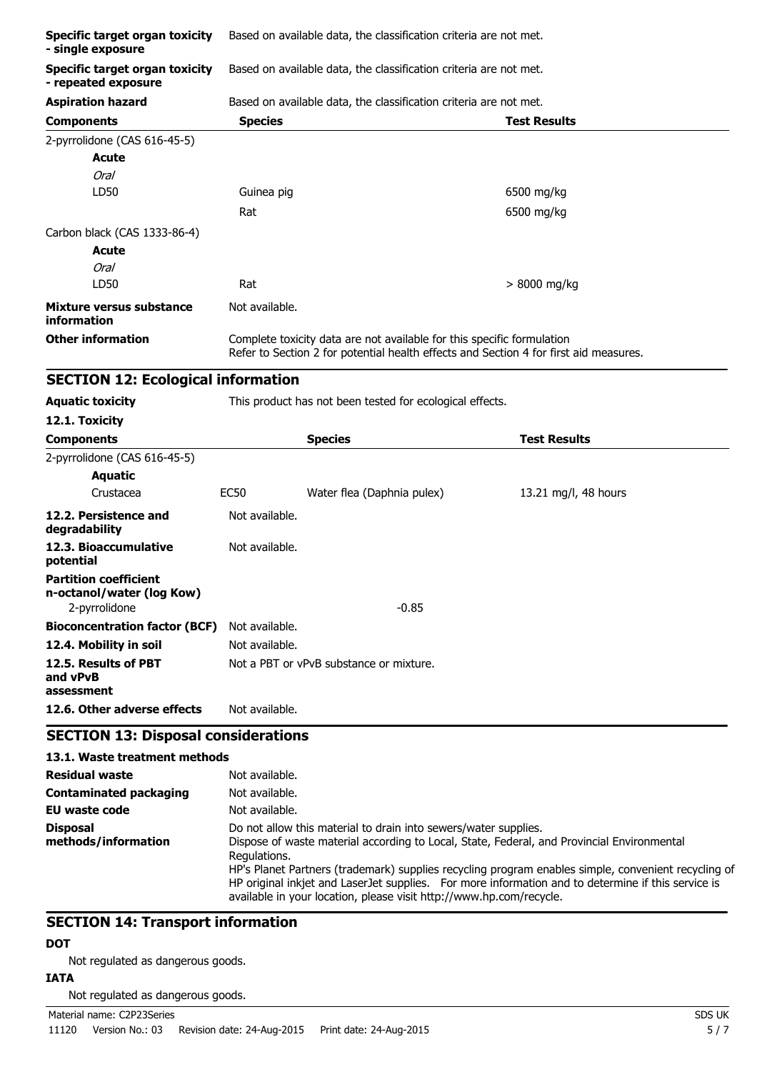| <b>Specific target organ toxicity</b><br>- single exposure   | Based on available data, the classification criteria are not met. |                                                                        |                                                                                       |  |
|--------------------------------------------------------------|-------------------------------------------------------------------|------------------------------------------------------------------------|---------------------------------------------------------------------------------------|--|
| <b>Specific target organ toxicity</b><br>- repeated exposure | Based on available data, the classification criteria are not met. |                                                                        |                                                                                       |  |
| <b>Aspiration hazard</b>                                     | Based on available data, the classification criteria are not met. |                                                                        |                                                                                       |  |
| <b>Components</b>                                            | <b>Species</b>                                                    |                                                                        | <b>Test Results</b>                                                                   |  |
| 2-pyrrolidone (CAS 616-45-5)                                 |                                                                   |                                                                        |                                                                                       |  |
| <b>Acute</b>                                                 |                                                                   |                                                                        |                                                                                       |  |
| <b>Oral</b>                                                  |                                                                   |                                                                        |                                                                                       |  |
| LD50                                                         | Guinea pig                                                        |                                                                        | 6500 mg/kg                                                                            |  |
|                                                              | Rat                                                               |                                                                        | 6500 mg/kg                                                                            |  |
| Carbon black (CAS 1333-86-4)                                 |                                                                   |                                                                        |                                                                                       |  |
| Acute                                                        |                                                                   |                                                                        |                                                                                       |  |
| <b>Oral</b>                                                  |                                                                   |                                                                        |                                                                                       |  |
| LD50                                                         | Rat                                                               |                                                                        | $> 8000$ mg/kg                                                                        |  |
| Mixture versus substance<br>information                      | Not available.                                                    |                                                                        |                                                                                       |  |
| <b>Other information</b>                                     |                                                                   | Complete toxicity data are not available for this specific formulation | Refer to Section 2 for potential health effects and Section 4 for first aid measures. |  |
| <b>SECTION 12: Ecological information</b>                    |                                                                   |                                                                        |                                                                                       |  |
| <b>Aquatic toxicity</b>                                      |                                                                   | This product has not been tested for ecological effects.               |                                                                                       |  |
| 12.1. Toxicity                                               |                                                                   |                                                                        |                                                                                       |  |
| <b>Components</b>                                            |                                                                   | <b>Species</b>                                                         | <b>Test Results</b>                                                                   |  |
| 2-pyrrolidone (CAS 616-45-5)                                 |                                                                   |                                                                        |                                                                                       |  |
| <b>Aquatic</b>                                               |                                                                   |                                                                        |                                                                                       |  |
| Crustacea                                                    | <b>EC50</b>                                                       | Water flea (Daphnia pulex)                                             | 13.21 mg/l, 48 hours                                                                  |  |
| 12.2. Persistence and<br>degradability                       | Not available.                                                    |                                                                        |                                                                                       |  |
| 12.3. Bioaccumulative<br>potential                           | Not available.                                                    |                                                                        |                                                                                       |  |
| <b>Partition coefficient</b><br>n-octanol/water (log Kow)    |                                                                   |                                                                        |                                                                                       |  |
| 2-pyrrolidone                                                |                                                                   | $-0.85$                                                                |                                                                                       |  |
| <b>Bioconcentration factor (BCF)</b>                         | Not available.                                                    |                                                                        |                                                                                       |  |
| 12.4. Mobility in soil                                       | Not available.                                                    |                                                                        |                                                                                       |  |
| 12.5. Results of PBT<br>and vPvB<br>assessment               |                                                                   | Not a PBT or vPvB substance or mixture.                                |                                                                                       |  |
| 12.6. Other adverse effects                                  | Not available.                                                    |                                                                        |                                                                                       |  |
| <b>SECTION 13: Disposal considerations</b>                   |                                                                   |                                                                        |                                                                                       |  |

| 13.1. Waste treatment methods          |                                                                                                                                                                                                                                                                                                                                                                                                                                                                    |
|----------------------------------------|--------------------------------------------------------------------------------------------------------------------------------------------------------------------------------------------------------------------------------------------------------------------------------------------------------------------------------------------------------------------------------------------------------------------------------------------------------------------|
| Residual waste                         | Not available.                                                                                                                                                                                                                                                                                                                                                                                                                                                     |
| <b>Contaminated packaging</b>          | Not available.                                                                                                                                                                                                                                                                                                                                                                                                                                                     |
| EU waste code                          | Not available.                                                                                                                                                                                                                                                                                                                                                                                                                                                     |
| <b>Disposal</b><br>methods/information | Do not allow this material to drain into sewers/water supplies.<br>Dispose of waste material according to Local, State, Federal, and Provincial Environmental<br>Regulations.<br>HP's Planet Partners (trademark) supplies recycling program enables simple, convenient recycling of<br>HP original inkjet and Laser Jet supplies. For more information and to determine if this service is<br>available in your location, please visit http://www.hp.com/recycle. |

## **SECTION 14: Transport information**

## **DOT**

Not regulated as dangerous goods.

## **IATA**

Not regulated as dangerous goods.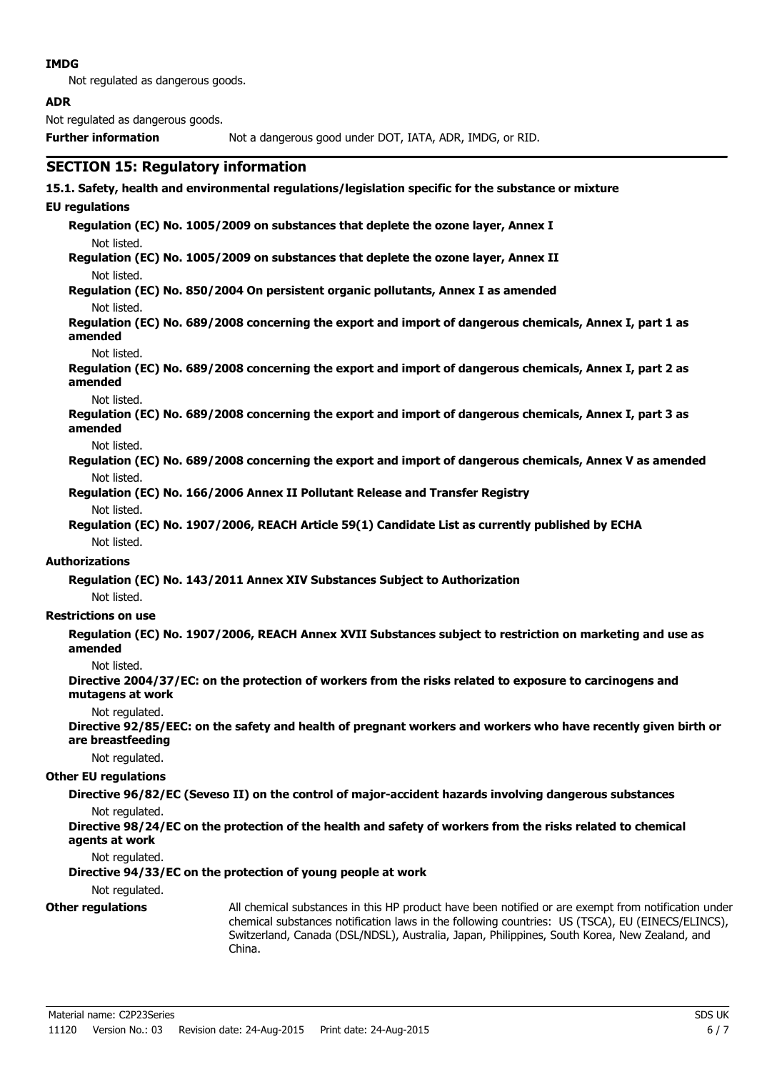#### **IMDG**

Not regulated as dangerous goods.

#### **ADR**

Not regulated as dangerous goods.

**Further information** Not a dangerous good under DOT, IATA, ADR, IMDG, or RID.

### **SECTION 15: Regulatory information**

## **15.1. Safety, health and environmental regulations/legislation specific for the substance or mixture**

#### **EU regulations**

**Regulation (EC) No. 1005/2009 on substances that deplete the ozone layer, Annex I** Not listed.

**Regulation (EC) No. 1005/2009 on substances that deplete the ozone layer, Annex II** Not listed.

**Regulation (EC) No. 850/2004 On persistent organic pollutants, Annex I as amended** Not listed.

**Regulation (EC) No. 689/2008 concerning the export and import of dangerous chemicals, Annex I, part 1 as amended**

#### Not listed.

**Regulation (EC) No. 689/2008 concerning the export and import of dangerous chemicals, Annex I, part 2 as amended**

#### Not listed.

**Regulation (EC) No. 689/2008 concerning the export and import of dangerous chemicals, Annex I, part 3 as amended**

#### Not listed.

**Regulation (EC) No. 689/2008 concerning the export and import of dangerous chemicals, Annex V as amended** Not listed.

**Regulation (EC) No. 166/2006 Annex II Pollutant Release and Transfer Registry**

#### Not listed.

**Regulation (EC) No. 1907/2006, REACH Article 59(1) Candidate List as currently published by ECHA** Not listed.

#### **Authorizations**

**Regulation (EC) No. 143/2011 Annex XIV Substances Subject to Authorization**

Not listed.

#### **Restrictions on use**

**Regulation (EC) No. 1907/2006, REACH Annex XVII Substances subject to restriction on marketing and use as amended**

#### Not listed.

**Directive 2004/37/EC: on the protection of workers from the risks related to exposure to carcinogens and mutagens at work**

#### Not regulated.

**Directive 92/85/EEC: on the safety and health of pregnant workers and workers who have recently given birth or are breastfeeding**

#### Not regulated.

#### **Other EU regulations**

**Directive 96/82/EC (Seveso II) on the control of major-accident hazards involving dangerous substances**

Not regulated.

**Directive 98/24/EC on the protection of the health and safety of workers from the risks related to chemical agents at work**

Not regulated.

#### **Directive 94/33/EC on the protection of young people at work**

#### Not regulated.

**Other regulations** All chemical substances in this HP product have been notified or are exempt from notification under chemical substances notification laws in the following countries: US (TSCA), EU (EINECS/ELINCS), Switzerland, Canada (DSL/NDSL), Australia, Japan, Philippines, South Korea, New Zealand, and China.